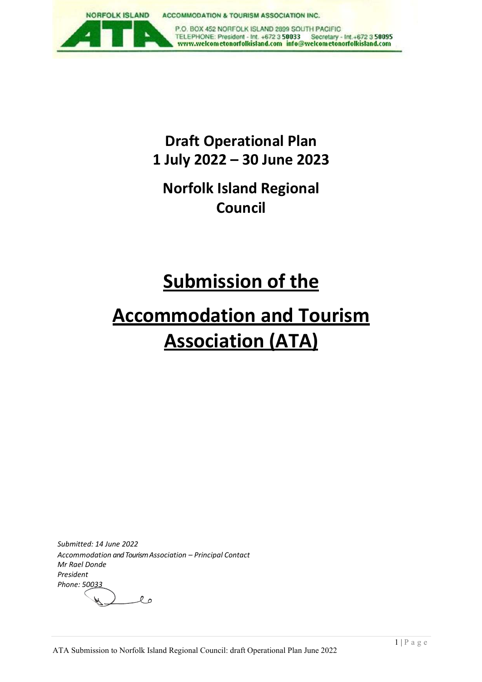

## **Draft Operational Plan 1 July 2022 – 30 June 2023**

## **Norfolk Island Regional Council**

## **Submission of the**

# **Accommodation and Tourism Association (ATA)**

*Submitted: 14 June 2022 Accommodation and Tourism Association – Principal Contact Mr Rael Donde President Phone: 50033* $\ell$  o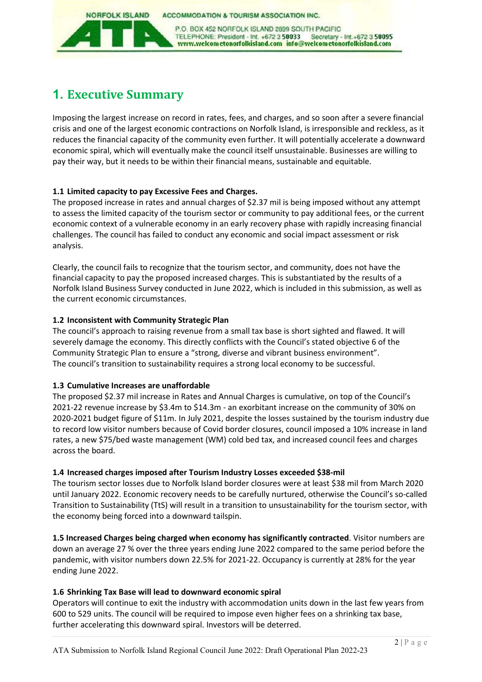**ACCOMMODATION & TOURISM ASSOCIATION INC.** 

P.O. BOX 452 NORFOLK ISLAND 2899 SOUTH PACIFIC TELEPHONE: President - Int. +672 3 50033 Secretary - Int.+672 3 50095<br>www.welcometonorfolkisland.com info@welcometonorfolkisland.com

### **1. Executive Summary**

**NORFOLK ISLAND** 

Imposing the largest increase on record in rates, fees, and charges, and so soon after a severe financial crisis and one of the largest economic contractions on Norfolk Island, is irresponsible and reckless, as it reduces the financial capacity of the community even further. It will potentially accelerate a downward economic spiral, which will eventually make the council itself unsustainable. Businesses are willing to pay their way, but it needs to be within their financial means, sustainable and equitable.

#### **1.1 Limited capacity to pay Excessive Fees and Charges.**

The proposed increase in rates and annual charges of \$2.37 mil is being imposed without any attempt to assess the limited capacity of the tourism sector or community to pay additional fees, or the current economic context of a vulnerable economy in an early recovery phase with rapidly increasing financial challenges. The council has failed to conduct any economic and social impact assessment or risk analysis.

Clearly, the council fails to recognize that the tourism sector, and community, does not have the financial capacity to pay the proposed increased charges. This is substantiated by the results of a Norfolk Island Business Survey conducted in June 2022, which is included in this submission, as well as the current economic circumstances.

#### **1.2 Inconsistent with Community Strategic Plan**

The council's approach to raising revenue from a small tax base is short sighted and flawed. It will severely damage the economy. This directly conflicts with the Council's stated objective 6 of the Community Strategic Plan to ensure a "strong, diverse and vibrant business environment". The council's transition to sustainability requires a strong local economy to be successful.

### **1.3 Cumulative Increases are unaffordable**

The proposed \$2.37 mil increase in Rates and Annual Charges is cumulative, on top of the Council's 2021-22 revenue increase by \$3.4m to \$14.3m - an exorbitant increase on the community of 30% on 2020-2021 budget figure of \$11m. In July 2021, despite the losses sustained by the tourism industry due to record low visitor numbers because of Covid border closures, council imposed a 10% increase in land rates, a new \$75/bed waste management (WM) cold bed tax, and increased council fees and charges across the board.

### **1.4 Increased charges imposed after Tourism Industry Losses exceeded \$38-mil**

The tourism sector losses due to Norfolk Island border closures were at least \$38 mil from March 2020 until January 2022. Economic recovery needs to be carefully nurtured, otherwise the Council's so-called Transition to Sustainability (TtS) will result in a transition to unsustainability for the tourism sector, with the economy being forced into a downward tailspin.

**1.5 Increased Charges being charged when economy has significantly contracted**. Visitor numbers are down an average 27 % over the three years ending June 2022 compared to the same period before the pandemic, with visitor numbers down 22.5% for 2021-22. Occupancy is currently at 28% for the year ending June 2022.

### **1.6 Shrinking Tax Base will lead to downward economic spiral**

Operators will continue to exit the industry with accommodation units down in the last few years from 600 to 529 units. The council will be required to impose even higher fees on a shrinking tax base, further accelerating this downward spiral. Investors will be deterred.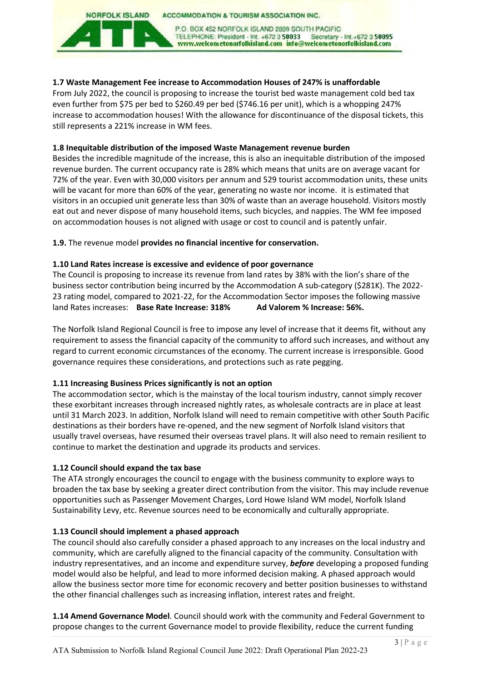#### **NORFOLK ISLAND ACCOMMODATION & TOURISM ASSOCIATION INC.**

P.O. BOX 452 NORFOLK ISLAND 2899 SOUTH PACIFIC TELEPHONE: President - Int. +672 3 50033 Secretary - Int.+672 3 50095<br>www.welcometonorfolkisland.com info@welcometonorfolkisland.com

#### **1.7 Waste Management Fee increase to Accommodation Houses of 247% is unaffordable**

From July 2022, the council is proposing to increase the tourist bed waste management cold bed tax even further from \$75 per bed to \$260.49 per bed (\$746.16 per unit), which is a whopping 247% increase to accommodation houses! With the allowance for discontinuance of the disposal tickets, this still represents a 221% increase in WM fees.

#### **1.8 Inequitable distribution of the imposed Waste Management revenue burden**

Besides the incredible magnitude of the increase, this is also an inequitable distribution of the imposed revenue burden. The current occupancy rate is 28% which means that units are on average vacant for 72% of the year. Even with 30,000 visitors per annum and 529 tourist accommodation units, these units will be vacant for more than 60% of the year, generating no waste nor income. it is estimated that visitors in an occupied unit generate less than 30% of waste than an average household. Visitors mostly eat out and never dispose of many household items, such bicycles, and nappies. The WM fee imposed on accommodation houses is not aligned with usage or cost to council and is patently unfair.

#### **1.9.** The revenue model **provides no financial incentive for conservation.**

#### **1.10 Land Rates increase is excessive and evidence of poor governance**

The Council is proposing to increase its revenue from land rates by 38% with the lion's share of the business sector contribution being incurred by the Accommodation A sub-category (\$281K). The 2022- 23 rating model, compared to 2021-22, for the Accommodation Sector imposes the following massive land Rates increases: **Base Rate Increase: 318% Ad Valorem % Increase: 56%.** 

The Norfolk Island Regional Council is free to impose any level of increase that it deems fit, without any requirement to assess the financial capacity of the community to afford such increases, and without any regard to current economic circumstances of the economy. The current increase is irresponsible. Good governance requires these considerations, and protections such as rate pegging.

#### **1.11 Increasing Business Prices significantly is not an option**

The accommodation sector, which is the mainstay of the local tourism industry, cannot simply recover these exorbitant increases through increased nightly rates, as wholesale contracts are in place at least until 31 March 2023. In addition, Norfolk Island will need to remain competitive with other South Pacific destinations as their borders have re-opened, and the new segment of Norfolk Island visitors that usually travel overseas, have resumed their overseas travel plans. It will also need to remain resilient to continue to market the destination and upgrade its products and services.

#### **1.12 Council should expand the tax base**

The ATA strongly encourages the council to engage with the business community to explore ways to broaden the tax base by seeking a greater direct contribution from the visitor. This may include revenue opportunities such as Passenger Movement Charges, Lord Howe Island WM model, Norfolk Island Sustainability Levy, etc. Revenue sources need to be economically and culturally appropriate.

#### **1.13 Council should implement a phased approach**

The council should also carefully consider a phased approach to any increases on the local industry and community, which are carefully aligned to the financial capacity of the community. Consultation with industry representatives, and an income and expenditure survey, *before* developing a proposed funding model would also be helpful, and lead to more informed decision making. A phased approach would allow the business sector more time for economic recovery and better position businesses to withstand the other financial challenges such as increasing inflation, interest rates and freight.

**1.14 Amend Governance Model**. Council should work with the community and Federal Government to propose changes to the current Governance model to provide flexibility, reduce the current funding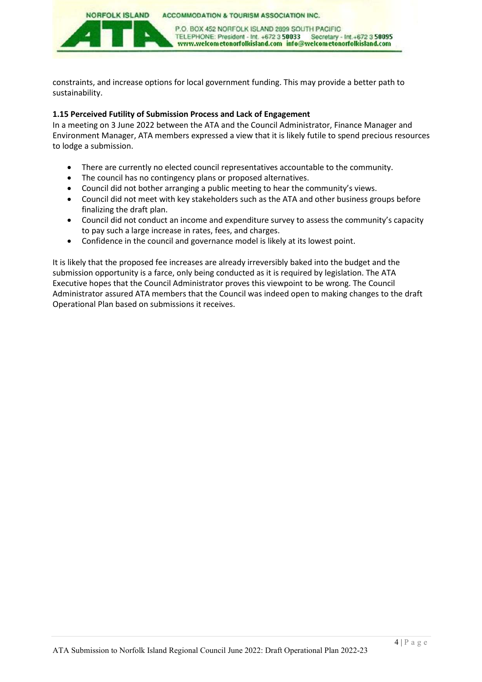**NORFOLK ISLAND ACCOMMODATION & TOURISM ASSOCIATION INC.** 

> P.O. BOX 452 NORFOLK ISLAND 2899 SOUTH PACIFIC TELEPHONE: President - Int. +672 3 50033 Secretary - Int.+672 3 50095<br>www.welcometonorfolkisland.com info@welcometonorfolkisland.com

constraints, and increase options for local government funding. This may provide a better path to sustainability.

#### **1.15 Perceived Futility of Submission Process and Lack of Engagement**

In a meeting on 3 June 2022 between the ATA and the Council Administrator, Finance Manager and Environment Manager, ATA members expressed a view that it is likely futile to spend precious resources to lodge a submission.

- There are currently no elected council representatives accountable to the community.
- The council has no contingency plans or proposed alternatives.
- Council did not bother arranging a public meeting to hear the community's views.
- Council did not meet with key stakeholders such as the ATA and other business groups before finalizing the draft plan.
- Council did not conduct an income and expenditure survey to assess the community's capacity to pay such a large increase in rates, fees, and charges.
- Confidence in the council and governance model is likely at its lowest point.

It is likely that the proposed fee increases are already irreversibly baked into the budget and the submission opportunity is a farce, only being conducted as it is required by legislation. The ATA Executive hopes that the Council Administrator proves this viewpoint to be wrong. The Council Administrator assured ATA members that the Council was indeed open to making changes to the draft Operational Plan based on submissions it receives.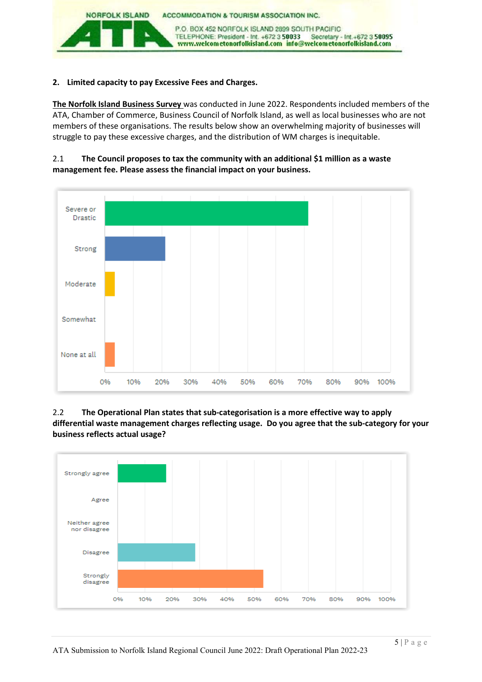

#### **2. Limited capacity to pay Excessive Fees and Charges.**

**The Norfolk Island Business Survey** was conducted in June 2022. Respondents included members of the ATA, Chamber of Commerce, Business Council of Norfolk Island, as well as local businesses who are not members of these organisations. The results below show an overwhelming majority of businesses will struggle to pay these excessive charges, and the distribution of WM charges is inequitable.





#### 2.2 **The Operational Plan states that sub-categorisation is a more effective way to apply differential waste management charges reflecting usage. Do you agree that the sub-category for your business reflects actual usage?**

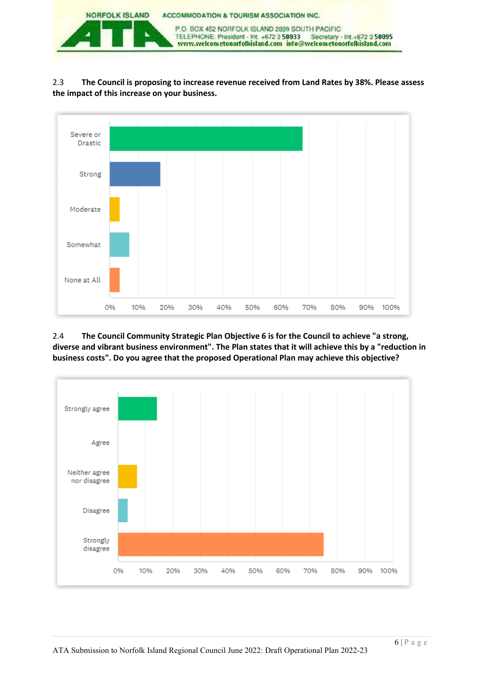

2.3 **The Council is proposing to increase revenue received from Land Rates by 38%. Please assess the impact of this increase on your business.**



2.4 **The Council Community Strategic Plan Objective 6 is for the Council to achieve "a strong, diverse and vibrant business environment". The Plan states that it will achieve this by a "reduction in business costs". Do you agree that the proposed Operational Plan may achieve this objective?** 

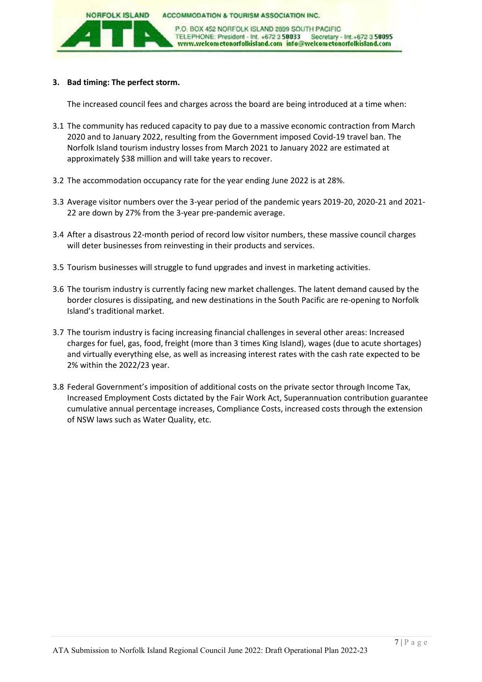

#### **3. Bad timing: The perfect storm.**

The increased council fees and charges across the board are being introduced at a time when:

- 3.1 The community has reduced capacity to pay due to a massive economic contraction from March 2020 and to January 2022, resulting from the Government imposed Covid-19 travel ban. The Norfolk Island tourism industry losses from March 2021 to January 2022 are estimated at approximately \$38 million and will take years to recover.
- 3.2 The accommodation occupancy rate for the year ending June 2022 is at 28%.
- 3.3 Average visitor numbers over the 3-year period of the pandemic years 2019-20, 2020-21 and 2021- 22 are down by 27% from the 3-year pre-pandemic average.
- 3.4 After a disastrous 22-month period of record low visitor numbers, these massive council charges will deter businesses from reinvesting in their products and services.
- 3.5 Tourism businesses will struggle to fund upgrades and invest in marketing activities.
- 3.6 The tourism industry is currently facing new market challenges. The latent demand caused by the border closures is dissipating, and new destinations in the South Pacific are re-opening to Norfolk Island's traditional market.
- 3.7 The tourism industry is facing increasing financial challenges in several other areas: Increased charges for fuel, gas, food, freight (more than 3 times King Island), wages (due to acute shortages) and virtually everything else, as well as increasing interest rates with the cash rate expected to be 2% within the 2022/23 year.
- 3.8 Federal Government's imposition of additional costs on the private sector through Income Tax, Increased Employment Costs dictated by the Fair Work Act, Superannuation contribution guarantee cumulative annual percentage increases, Compliance Costs, increased costs through the extension of NSW laws such as Water Quality, etc.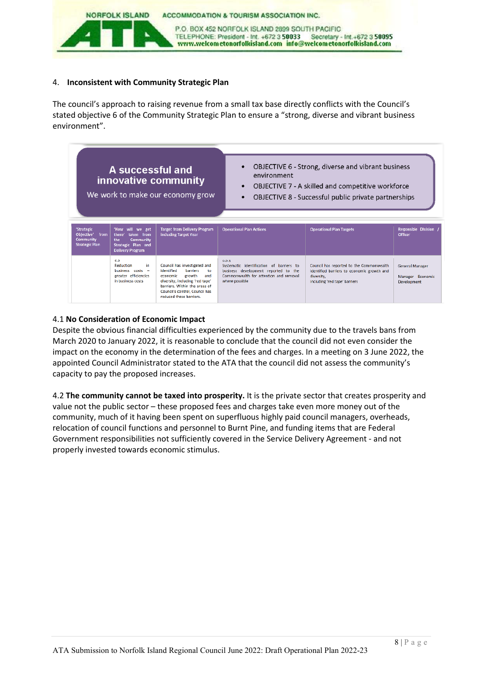

#### 4. **Inconsistent with Community Strategic Plan**

The council's approach to raising revenue from a small tax base directly conflicts with the Council's stated objective 6 of the Community Strategic Plan to ensure a "strong, diverse and vibrant business environment".



#### 4.1 **No Consideration of Economic Impact**

Despite the obvious financial difficulties experienced by the community due to the travels bans from March 2020 to January 2022, it is reasonable to conclude that the council did not even consider the impact on the economy in the determination of the fees and charges. In a meeting on 3 June 2022, the appointed Council Administrator stated to the ATA that the council did not assess the community's capacity to pay the proposed increases.

4.2 **The community cannot be taxed into prosperity.** It is the private sector that creates prosperity and value not the public sector – these proposed fees and charges take even more money out of the community, much of it having been spent on superfluous highly paid council managers, overheads, relocation of council functions and personnel to Burnt Pine, and funding items that are Federal Government responsibilities not sufficiently covered in the Service Delivery Agreement - and not properly invested towards economic stimulus.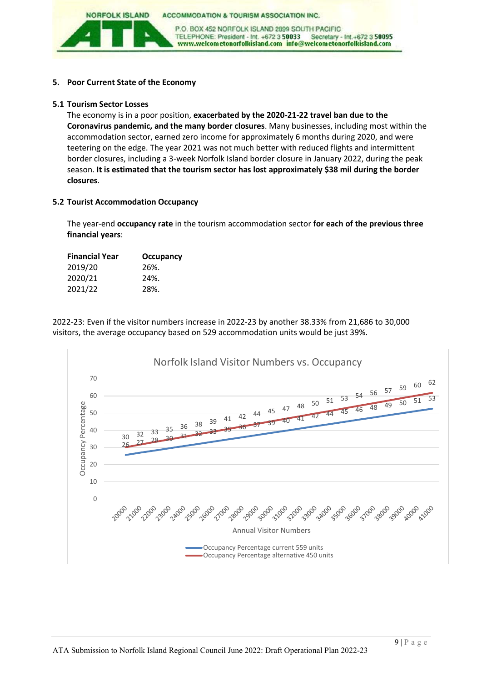**ACCOMMODATION & TOURISM ASSOCIATION INC.** 

P.O. BOX 452 NORFOLK ISLAND 2899 SOUTH PACIFIC TELEPHONE: President - Int. +672 3 50033 Secretary - Int.+672 3 50095 www.welcometonorfolkisland.com info@welcometonorfolkisland.com

#### **5. Poor Current State of the Economy**

**NORFOLK ISLAND** 

#### **5.1 Tourism Sector Losses**

The economy is in a poor position, **exacerbated by the 2020-21-22 travel ban due to the Coronavirus pandemic, and the many border closures**. Many businesses, including most within the accommodation sector, earned zero income for approximately 6 months during 2020, and were teetering on the edge. The year 2021 was not much better with reduced flights and intermittent border closures, including a 3-week Norfolk Island border closure in January 2022, during the peak season. **It is estimated that the tourism sector has lost approximately \$38 mil during the border closures**.

#### **5.2 Tourist Accommodation Occupancy**

The year-end **occupancy rate** in the tourism accommodation sector **for each of the previous three financial years**:

| <b>Financial Year</b> | <b>Occupancy</b> |  |  |
|-----------------------|------------------|--|--|
| 2019/20               | 26%.             |  |  |
| 2020/21               | 24%.             |  |  |
| 2021/22               | 28%.             |  |  |

2022-23: Even if the visitor numbers increase in 2022-23 by another 38.33% from 21,686 to 30,000 visitors, the average occupancy based on 529 accommodation units would be just 39%.

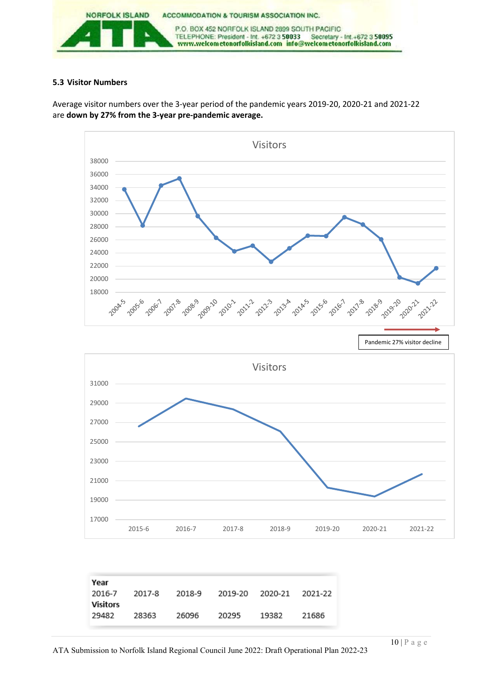

#### **5.3 Visitor Numbers**

Average visitor numbers over the 3-year period of the pandemic years 2019-20, 2020-21 and 2021-22 are **down by 27% from the 3-year pre-pandemic average.** 

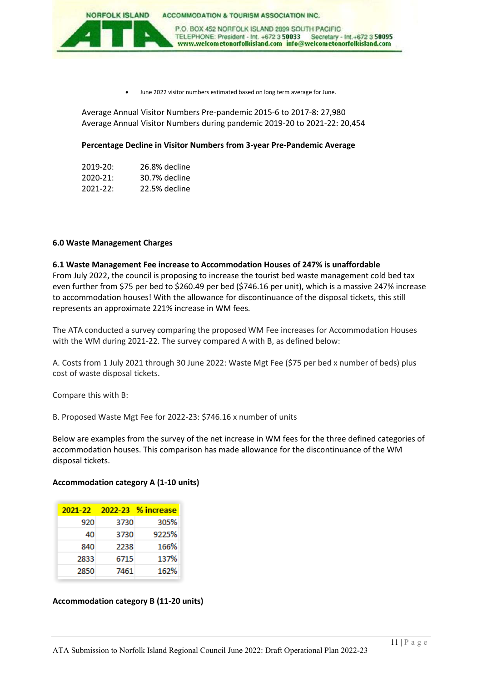

June 2022 visitor numbers estimated based on long term average for June.

Average Annual Visitor Numbers Pre-pandemic 2015-6 to 2017-8: 27,980 Average Annual Visitor Numbers during pandemic 2019-20 to 2021-22: 20,454

#### **Percentage Decline in Visitor Numbers from 3-year Pre-Pandemic Average**

| 2019-20:     | 26.8% decline |
|--------------|---------------|
| $2020 - 21:$ | 30.7% decline |
| $2021 - 22:$ | 22.5% decline |

#### **6.0 Waste Management Charges**

**6.1 Waste Management Fee increase to Accommodation Houses of 247% is unaffordable** From July 2022, the council is proposing to increase the tourist bed waste management cold bed tax even further from \$75 per bed to \$260.49 per bed (\$746.16 per unit), which is a massive 247% increase to accommodation houses! With the allowance for discontinuance of the disposal tickets, this still represents an approximate 221% increase in WM fees.

The ATA conducted a survey comparing the proposed WM Fee increases for Accommodation Houses with the WM during 2021-22. The survey compared A with B, as defined below:

A. Costs from 1 July 2021 through 30 June 2022: Waste Mgt Fee (\$75 per bed x number of beds) plus cost of waste disposal tickets.

Compare this with B:

B. Proposed Waste Mgt Fee for 2022-23: \$746.16 x number of units

Below are examples from the survey of the net increase in WM fees for the three defined categories of accommodation houses. This comparison has made allowance for the discontinuance of the WM disposal tickets.

#### **Accommodation category A (1-10 units)**

| 2021-22 |      | 2022-23 % increase |
|---------|------|--------------------|
| 920     | 3730 | 305%               |
| 40      | 3730 | 9225%              |
| 840     | 2238 | 166%               |
| 2833    | 6715 | 137%               |
| 2850    | 7461 | 162%               |

#### **Accommodation category B (11-20 units)**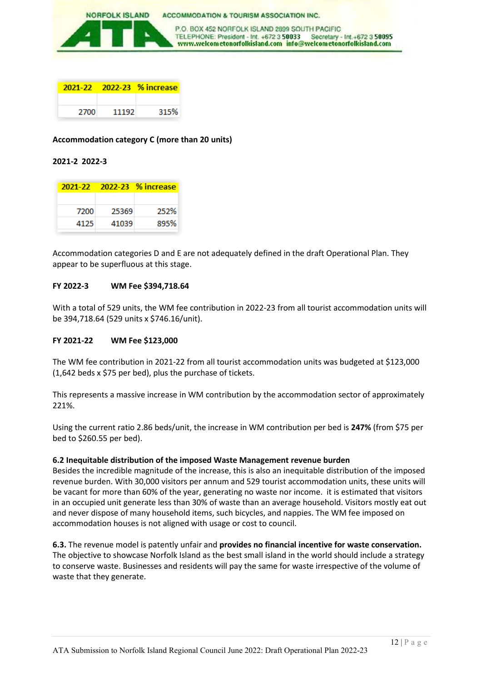

|      |       | 2021-22 2022-23 % increase |  |
|------|-------|----------------------------|--|
|      |       |                            |  |
| 2700 | 11192 | 315%                       |  |

#### **Accommodation category C (more than 20 units)**

#### **2021-2 2022-3**

|      |       | 2021-22 2022-23 % increase |
|------|-------|----------------------------|
|      |       |                            |
| 7200 | 25369 | 252%                       |
| 4125 | 41039 | 895%                       |

Accommodation categories D and E are not adequately defined in the draft Operational Plan. They appear to be superfluous at this stage.

#### **FY 2022-3 WM Fee \$394,718.64**

With a total of 529 units, the WM fee contribution in 2022-23 from all tourist accommodation units will be 394,718.64 (529 units x \$746.16/unit).

#### **FY 2021-22 WM Fee \$123,000**

The WM fee contribution in 2021-22 from all tourist accommodation units was budgeted at \$123,000 (1,642 beds x \$75 per bed), plus the purchase of tickets.

This represents a massive increase in WM contribution by the accommodation sector of approximately 221%.

Using the current ratio 2.86 beds/unit, the increase in WM contribution per bed is **247%** (from \$75 per bed to \$260.55 per bed).

#### **6.2 Inequitable distribution of the imposed Waste Management revenue burden**

Besides the incredible magnitude of the increase, this is also an inequitable distribution of the imposed revenue burden. With 30,000 visitors per annum and 529 tourist accommodation units, these units will be vacant for more than 60% of the year, generating no waste nor income. it is estimated that visitors in an occupied unit generate less than 30% of waste than an average household. Visitors mostly eat out and never dispose of many household items, such bicycles, and nappies. The WM fee imposed on accommodation houses is not aligned with usage or cost to council.

**6.3.** The revenue model is patently unfair and **provides no financial incentive for waste conservation.**  The objective to showcase Norfolk Island as the best small island in the world should include a strategy to conserve waste. Businesses and residents will pay the same for waste irrespective of the volume of waste that they generate.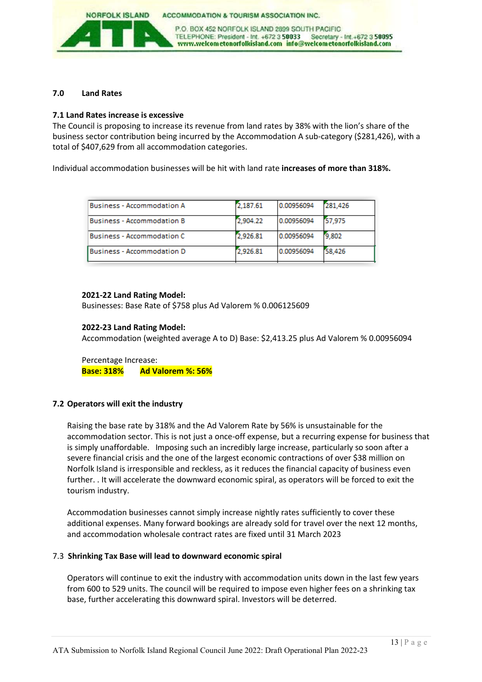

#### **7.0 Land Rates**

#### **7.1 Land Rates increase is excessive**

The Council is proposing to increase its revenue from land rates by 38% with the lion's share of the business sector contribution being incurred by the Accommodation A sub-category (\$281,426), with a total of \$407,629 from all accommodation categories.

Individual accommodation businesses will be hit with land rate **increases of more than 318%.**

| <b>Business - Accommodation A</b> | 2,187.61 | 0.00956094 | 281.426 |
|-----------------------------------|----------|------------|---------|
| <b>Business - Accommodation B</b> | 2,904.22 | 0.00956094 | 57.975  |
| <b>Business - Accommodation C</b> | 2,926.81 | 0.00956094 | 9,802   |
| <b>Business - Accommodation D</b> | 2,926.81 | 0.00956094 | 58.426  |

#### **2021-22 Land Rating Model:**

Businesses: Base Rate of \$758 plus Ad Valorem % 0.006125609

#### **2022-23 Land Rating Model:**

Accommodation (weighted average A to D) Base: \$2,413.25 plus Ad Valorem % 0.00956094

Percentage Increase: **Base: 318% Ad Valorem %: 56%** 

#### **7.2 Operators will exit the industry**

Raising the base rate by 318% and the Ad Valorem Rate by 56% is unsustainable for the accommodation sector. This is not just a once-off expense, but a recurring expense for business that is simply unaffordable. Imposing such an incredibly large increase, particularly so soon after a severe financial crisis and the one of the largest economic contractions of over \$38 million on Norfolk Island is irresponsible and reckless, as it reduces the financial capacity of business even further. . It will accelerate the downward economic spiral, as operators will be forced to exit the tourism industry.

Accommodation businesses cannot simply increase nightly rates sufficiently to cover these additional expenses. Many forward bookings are already sold for travel over the next 12 months, and accommodation wholesale contract rates are fixed until 31 March 2023

#### 7.3 **Shrinking Tax Base will lead to downward economic spiral**

Operators will continue to exit the industry with accommodation units down in the last few years from 600 to 529 units. The council will be required to impose even higher fees on a shrinking tax base, further accelerating this downward spiral. Investors will be deterred.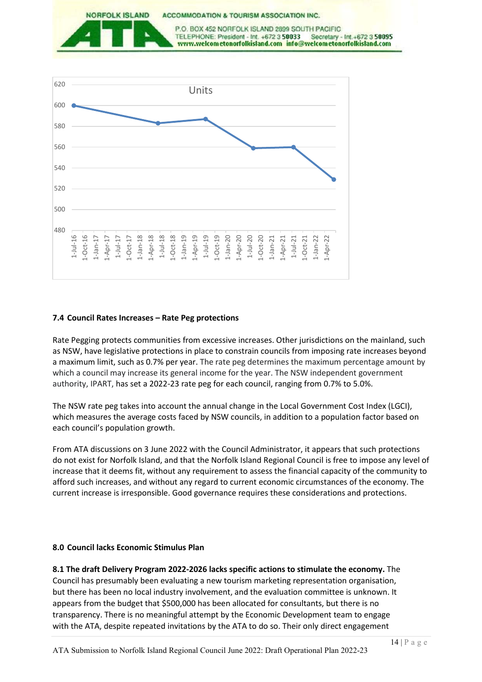

#### **7.4 Council Rates Increases – Rate Peg protections**

Rate Pegging protects communities from excessive increases. Other jurisdictions on the mainland, such as NSW, have legislative protections in place to constrain councils from imposing rate increases beyond a maximum limit, such as 0.7% per year. The rate peg determines the maximum percentage amount by which a council may increase its general income for the year. The NSW independent government authority, IPART, has set a 2022-23 rate peg for each council, ranging from 0.7% to 5.0%.

The NSW rate peg takes into account the annual change in the Local Government Cost Index (LGCI), which measures the average costs faced by NSW councils, in addition to a population factor based on each council's population growth.

From ATA discussions on 3 June 2022 with the Council Administrator, it appears that such protections do not exist for Norfolk Island, and that the Norfolk Island Regional Council is free to impose any level of increase that it deems fit, without any requirement to assess the financial capacity of the community to afford such increases, and without any regard to current economic circumstances of the economy. The current increase is irresponsible. Good governance requires these considerations and protections.

#### **8.0 Council lacks Economic Stimulus Plan**

**8.1 The draft Delivery Program 2022-2026 lacks specific actions to stimulate the economy.** The Council has presumably been evaluating a new tourism marketing representation organisation, but there has been no local industry involvement, and the evaluation committee is unknown. It appears from the budget that \$500,000 has been allocated for consultants, but there is no transparency. There is no meaningful attempt by the Economic Development team to engage with the ATA, despite repeated invitations by the ATA to do so. Their only direct engagement